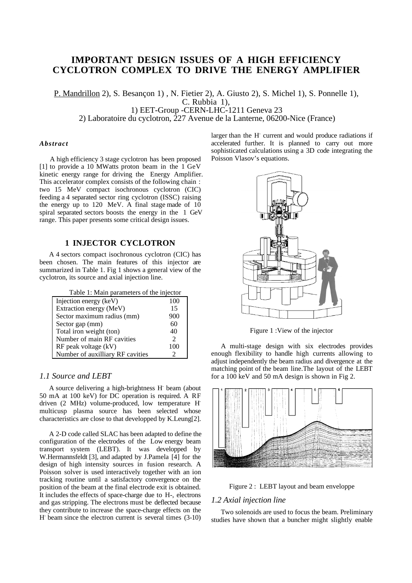# **IMPORTANT DESIGN ISSUES OF A HIGH EFFICIENCY CYCLOTRON COMPLEX TO DRIVE THE ENERGY AMPLIFIER**

 P. Mandrillon 2), S. Besançon 1) , N. Fietier 2), A. Giusto 2), S. Michel 1), S. Ponnelle 1), C. Rubbia 1), 1) EET-Group -CERN-LHC-1211 Geneva 23

2) Laboratoire du cyclotron, 227 Avenue de la Lanterne, 06200-Nice (France)

#### *Abstract*

A high efficiency 3 stage cyclotron has been proposed [1] to provide a 10 MWatts proton beam in the 1 GeV kinetic energy range for driving the Energy Amplifier. This accelerator complex consists of the following chain : two 15 MeV compact isochronous cyclotron (CIC) feeding a 4 separated sector ring cyclotron (ISSC) raising the energy up to 120 MeV. A final stage made of 10 spiral separated sectors boosts the energy in the 1 GeV range. This paper presents some critical design issues.

# **1 INJECTOR CYCLOTRON**

A 4 sectors compact isochronous cyclotron (CIC) has been chosen. The main features of this injector are summarized in Table 1. Fig 1 shows a general view of the cyclotron, its source and axial injection line.

| Table 1: Main parameters of the injector |                       |  |  |
|------------------------------------------|-----------------------|--|--|
| Injection energy (keV)                   | 100                   |  |  |
| Extraction energy (MeV)                  | 15                    |  |  |
| Sector maximum radius (mm)               | 900                   |  |  |
| Sector gap (mm)                          | 60                    |  |  |
| Total iron weight (ton)                  | 40                    |  |  |
| Number of main RF cavities               | $\mathfrak{D}$        |  |  |
| $RF$ peak voltage $(kV)$                 | 100                   |  |  |
| Number of auxilliary RF cavities         | $\mathcal{D}_{\cdot}$ |  |  |

### *1.1 Source and LEBT*

A source delivering a high-brightness H- beam (about 50 mA at 100 keV) for DC operation is required. A RF driven (2 MHz) volume-produced, low temperature Hmulticusp plasma source has been selected whose characteristics are close to that developped by K.Leung[2].

A 2-D code called SLAC has been adapted to define the configuration of the electrodes of the Low energy beam transport system (LEBT). It was developped by W.Hermannsfeldt [3], and adapted by J.Pamela [4] for the design of high intensity sources in fusion research. A Poisson solver is used interactively together with an ion tracking routine until a satisfactory convergence on the position of the beam at the final electrode exit is obtained. It includes the effects of space-charge due to H-, electrons and gas stripping. The electrons must be deflected because they contribute to increase the space-charge effects on the H- beam since the electron current is several times (3-10)

larger than the H<sup>-</sup> current and would produce radiations if accelerated further. It is planned to carry out more sophisticated calculations using a 3D code integrating the Poisson Vlasov's equations.



Figure 1 :View of the injector

A multi-stage design with six electrodes provides enough flexibility to handle high currents allowing to adjust independently the beam radius and divergence at the matching point of the beam line.The layout of the LEBT for a 100 keV and 50 mA design is shown in Fig 2.





#### *1.2 Axial injection line*

Two solenoids are used to focus the beam. Preliminary studies have shown that a buncher might slightly enable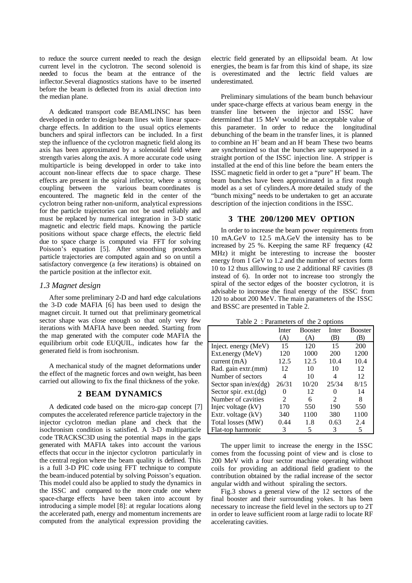to reduce the source current needed to reach the design current level in the cyclotron. The second solenoid is needed to focus the beam at the entrance of the inflector.Several diagnostics stations have to be inserted before the beam is deflected from its axial direction into the median plane.

A dedicated transport code BEAMLINSC has been developed in order to design beam lines with linear spacecharge effects. In addition to the usual optics elements bunchers and spiral inflectors can be included. In a first step the influence of the cyclotron magnetic field along its axis has been approximated by a solenoidal field where strength varies along the axis. A more accurate code using multiparticle is being developped in order to take into account non-linear effects due to space charge. These effects are present in the spiral inflector, where a strong coupling between the various beam coordinates is encountered. The magnetic feld in the center of the cyclotron being rather non-uniform, analytical expressions for the particle trajectories can not be used reliably and must be replaced by numerical integration in 3-D static magnetic and electric field maps. Knowing the particle positions without space charge effects, the electric field due to space charge is computed via FFT for solving Poisson's equation [5]. After smoothing procedures particle trajectories are computed again and so on until a satisfactory convergence (a few iterations) is obtained on the particle position at the inflector exit.

### *1.3 Magnet design*

After some preliminary 2-D and hard edge calculations the 3-D code MAFIA [6] has been used to design the magnet circuit. It turned out that preliminary geometrical sector shape was close enough so that only very few iterations with MAFIA have been needed. Starting from the map generated with the computer code MAFIA the equilibrium orbit code EUQUIL, indicates how far the generated field is from isochronism.

A mechanical study of the magnet deformations under the effect of the magnetic forces and own weight, has been carried out allowing to fix the final thickness of the yoke.

#### **2 BEAM DYNAMICS**

A dedicated code based on the micro-gap concept [7] computes the accelerated reference particle trajectory in the injector cyclotron median plane and check that the isochronism condition is satisfied. A 3-D multiparticle code TRACKSC3D using the potential maps in the gaps generated with MAFIA takes into account the various effects that occur in the injector cyclotron particularly in the central region where the beam quality is defined. This is a full 3-D PIC code using FFT technique to compute the beam-induced potential by solving Poisson's equation. This model could also be applied to study the dynamics in the ISSC and compared to the more crude one where space-charge effects have been taken into account by introducing a simple model [8]: at regular locations along the accelerated path, energy and momentum increments are computed from the analytical expression providing the

electric field generated by an ellipsoidal beam. At low energies, the beam is far from this kind of shape, its size is overestimated and the lectric field values are underestimated.

Preliminary simulations of the beam bunch behaviour under space-charge effects at various beam energy in the transfer line between the injector and ISSC have determined that 15 MeV would be an acceptable value of this parameter. In order to reduce the longitudinal debunching of the beam in the transfer lines, it is planned to combine an H<sup>+</sup> beam and an H<sup>-</sup> beam These two beams are synchronized so that the bunches are superposed in a straight portion of the ISSC injection line. A stripper is installed at the end of this line before the beam enters the ISSC magnetic field in order to get a "pure" H<sup>+</sup> beam. The beam bunches have been approximated in a first rough model as a set of cylinders.A more detailed study of the "bunch mixing" needs to be undertaken to get an accurate description of the injection conditions in the ISSC.

### **3 THE 200/1200 MEV OPTION**

In order to increase the beam power requirements from 10 mA.GeV to 12.5 mA.GeV the intensity has to be increased by 25 %. Keeping the same RF frequency (42 MHz) it might be interesting to increase the booster energy from 1 GeV to 1.2 and the number of sectors form 10 to 12 thus alllowing to use 2 additional RF cavities (8 instead of 6). In order not to increase too strongly the spiral of the sector edges of the booster cyclotron, it is advisable to increase the final energy of the ISSC from 120 to about 200 MeV. The main parameters of the ISSC and BSSC are presented in Table 2.

|                          | Inter | <b>Booster</b> | Inter          | <b>Booster</b> |
|--------------------------|-------|----------------|----------------|----------------|
|                          | (A)   | (A)            | (B)            | (B)            |
| Inject. energy (MeV)     | 15    | 120            | 15             | 200            |
| Ext.energy (MeV)         | 120   | 1000           | 200            | 1200           |
| current $(mA)$           | 12.5  | 12.5           | 10.4           | 10.4           |
| Rad. gain extr.(mm)      | 12    | 10             | 10             | 12             |
| Number of sectors        | 4     | 10             | 4              | 12             |
| Sector span in/ex $(dg)$ | 26/31 | 10/20          | 25/34          | 8/15           |
| Sector spir. $ext.(dg)$  | 0     | 12             |                | 14             |
| Number of cavities       | 2     | 6              | $\mathfrak{D}$ | 8              |
| Injec voltage (kV)       | 170   | 550            | 190            | 550            |
| Extr. voltage (kV)       | 340   | 1100           | 380            | 1100           |
| Total losses (MW)        | 0.44  | 1.8            | 0.63           | 2.4            |
| Flat-top harmonic        | 3     |                | 3              | 5              |

Table  $2 \cdot$  Parameters of the 2 options

The upper limit to increase the energy in the ISSC comes from the focussing point of view and is close to 200 MeV with a four sector machine operating without coils for providing an additional field gradient to the contribution obtained by the radial increase of the sector angular width and without spiraling the sectors.

Fig.3 shows a general view of the 12 sectors of the final booster and their surrounding yokes. It has been necessary to increase the field level in the sectors up to 2T in order to leave sufficient room at large radii to locate RF accelerating cavities.